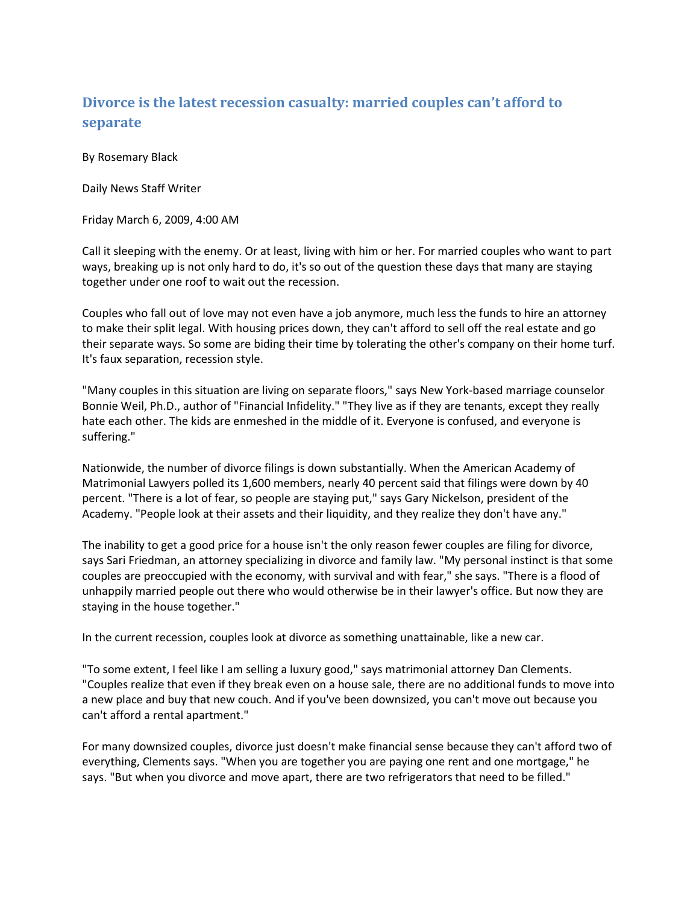## **Divorce is the latest recession casualty: married couples can't afford to separate**

By Rosemary Black

Daily News Staff Writer

Friday March 6, 2009, 4:00 AM

Call it sleeping with the enemy. Or at least, living with him or her. For married couples who want to part ways, breaking up is not only hard to do, it's so out of the question these days that many are staying together under one roof to wait out the recession.

Couples who fall out of love may not even have a job anymore, much less the funds to hire an attorney to make their split legal. With housing prices down, they can't afford to sell off the real estate and go their separate ways. So some are biding their time by tolerating the other's company on their home turf. It's faux separation, recession style.

"Many couples in this situation are living on separate floors," says [New York-](http://www.nydailynews.com/topics/New+York)based marriage counselor [Bonnie Weil, Ph.D.,](http://www.nydailynews.com/topics/Bonnie+Weil) author of "Financial Infidelity." "They live as if they are tenants, except they really hate each other. The kids are enmeshed in the middle of it. Everyone is confused, and everyone is suffering."

Nationwide, the number of divorce filings is down substantially. When th[e American Academy of](http://www.nydailynews.com/topics/American+Academy+of+Matrimonial+Lawyers)  [Matrimonial Lawyers](http://www.nydailynews.com/topics/American+Academy+of+Matrimonial+Lawyers) polled its 1,600 members, nearly 40 percent said that filings were down by 40 percent. "There is a lot of fear, so people are staying put," say[s Gary Nickelson,](http://www.nydailynews.com/topics/Gary+Nickelson) president of the Academy. "People look at their assets and their liquidity, and they realize they don't have any."

The inability to get a good price for a house isn't the only reason fewer couples are filing for divorce, says [Sari Friedman,](http://www.nydailynews.com/topics/Sari+Friedman) an attorney specializing in divorce and family law. "My personal instinct is that some couples are preoccupied with the economy, with survival and with fear," she says. "There is a flood of unhappily married people out there who would otherwise be in their lawyer's office. But now they are staying in the house together."

In the current recession, couples look at divorce as something unattainable, like a new car.

"To some extent, I feel like I am selling a luxury good," says matrimonial attorney [Dan Clements.](http://www.nydailynews.com/topics/Dan+Clements) "Couples realize that even if they break even on a house sale, there are no additional funds to move into a new place and buy that new couch. And if you've been downsized, you can't move out because you can't afford a rental apartment."

For many downsized couples, divorce just doesn't make financial sense because they can't afford two of everything, Clements says. "When you are together you are paying one rent and one mortgage," he says. "But when you divorce and move apart, there are two refrigerators that need to be filled."